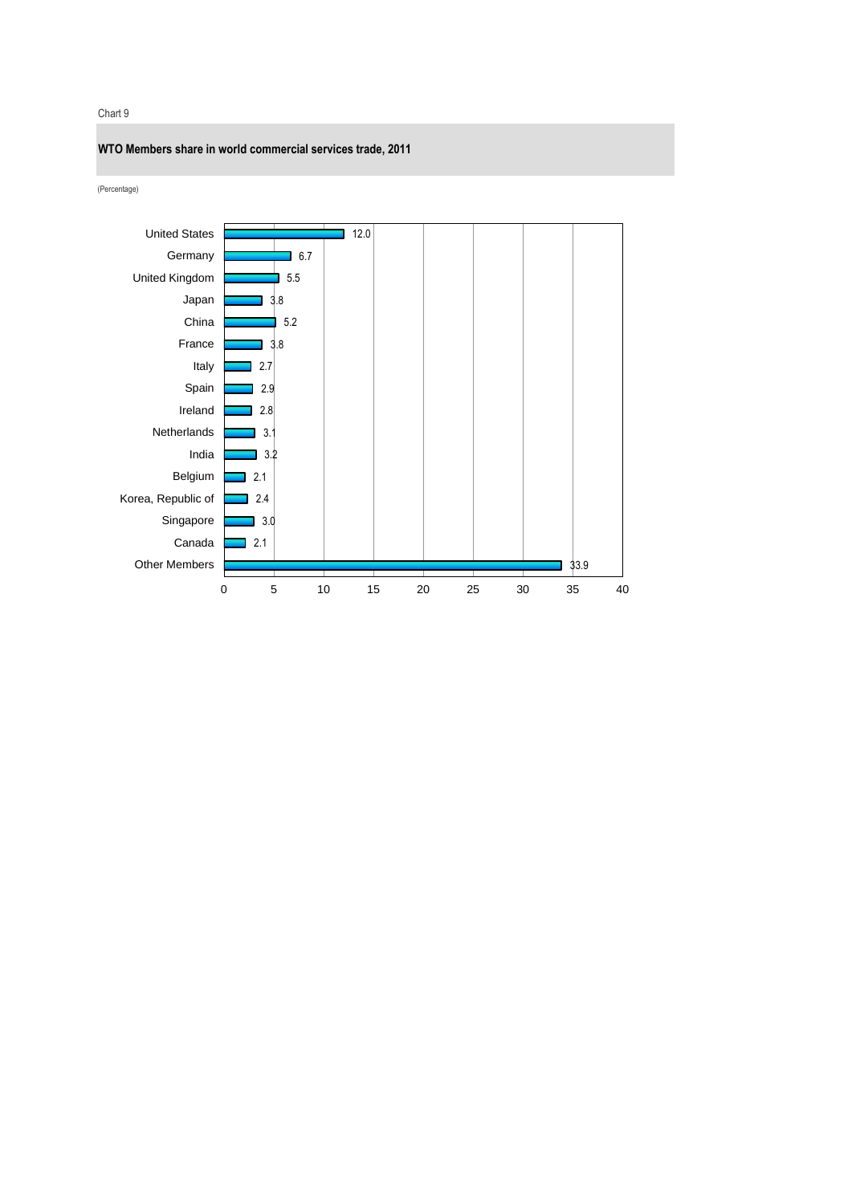Chart 9



(Percentage)

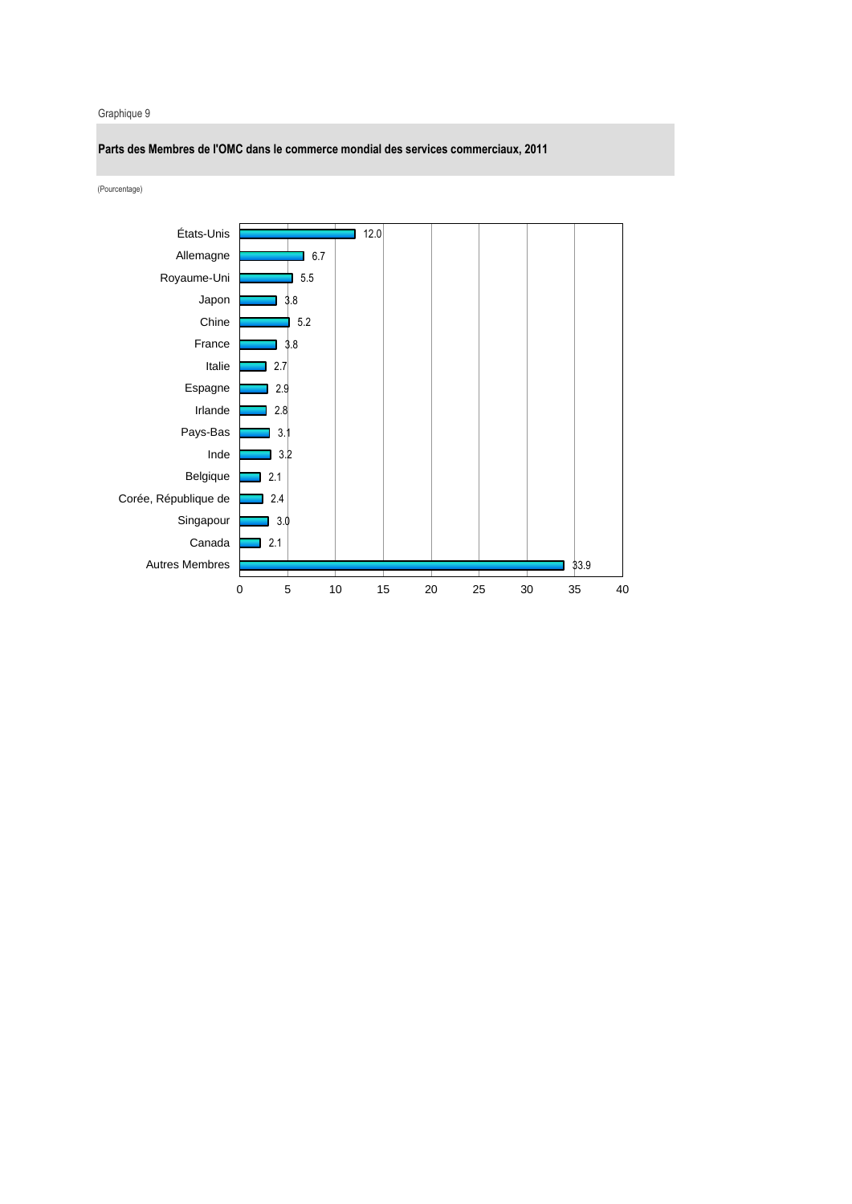## Graphique 9

**Parts des Membres de l'OMC dans le commerce mondial des services commerciaux, 2011**

(Pourcentage)

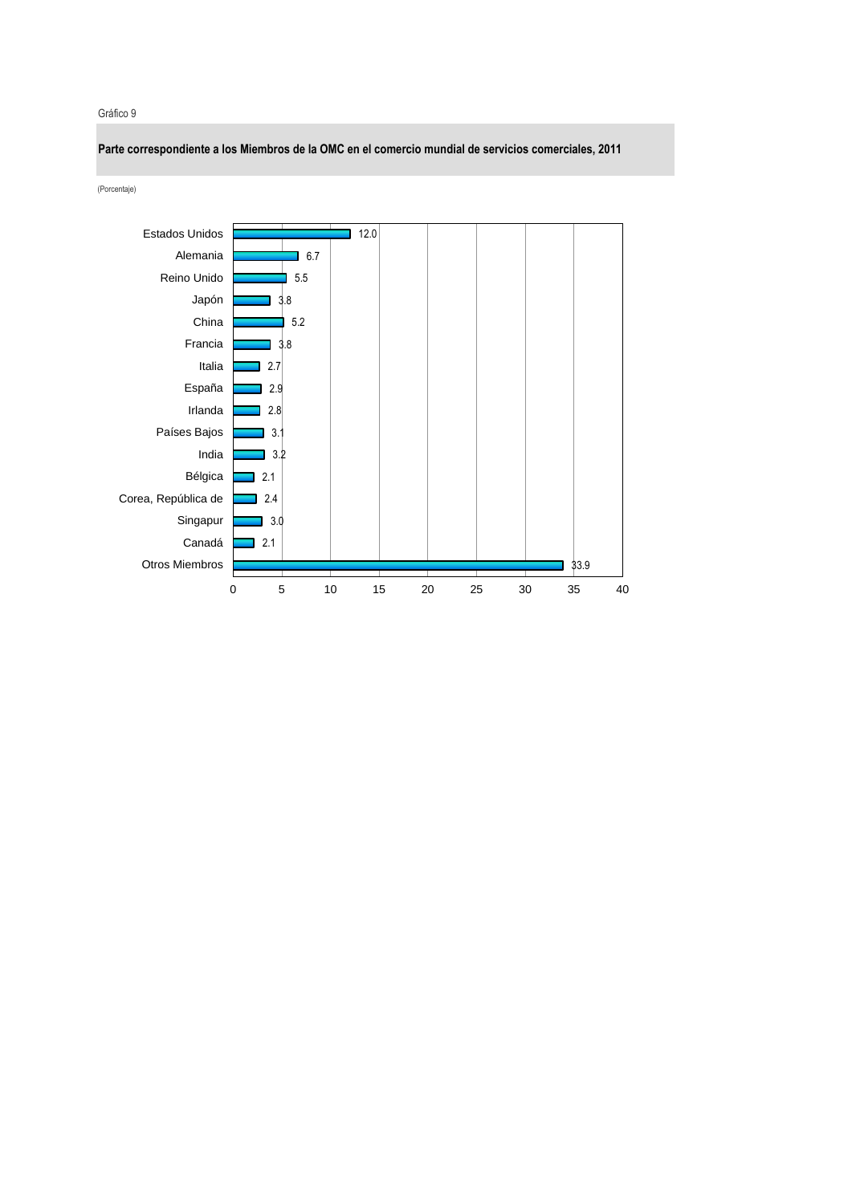## Gráfico 9

**Parte correspondiente a los Miembros de la OMC en el comercio mundial de servicios comerciales, 2011** (Porcentaje) Estados Unidos12.0 ٦ Alemania  $\overline{\phantom{0}}$  6.7 H. Reino Unido  $\overline{5}$ .5 Japón 3.8 China 5.2 Francia 3.8 Italia 2.7 España 2.9 Irlanda 2.8 Países Bajos 3.1 India 3.2 Bélgica 2.1 Corea, República de 2.4 Singapur ٦ 3.0 Canadá 2.1 Otros Miembros 33.9 0 5 10 15 20 25 30 35 40